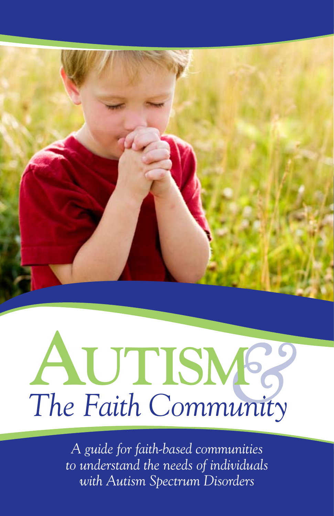

# **A**  $ALITISM63$ <br>The Faith Community

*A guide for faith-based communities to understand the needs of individuals with Autism Spectrum Disorders*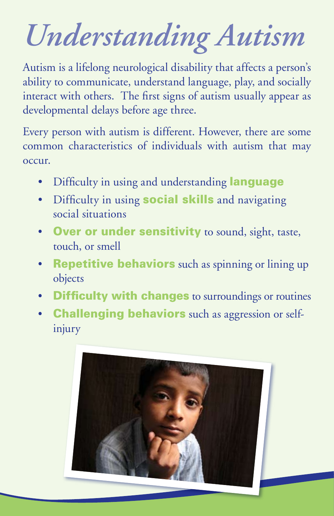## *Understanding Autism*

Autism is a lifelong neurological disability that affects a person's ability to communicate, understand language, play, and socially interact with others. The first signs of autism usually appear as developmental delays before age three.

Every person with autism is different. However, there are some common characteristics of individuals with autism that may occur.

- Difficulty in using and understanding **language**
- Difficulty in using **social skills** and navigating social situations
- Over or under sensitivity to sound, sight, taste, touch, or smell
- **Repetitive behaviors** such as spinning or lining up objects
- Difficulty with changes to surroundings or routines
- **Challenging behaviors** such as aggression or selfinjury

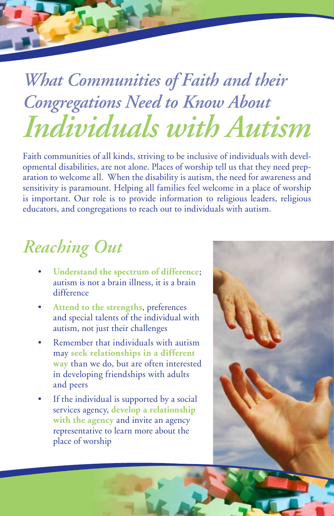### *What Communities of Faith and their Congregations Need to Know About Individuals with Autism*

Faith communities of all kinds, striving to be inclusive of individuals with developmental disabilities, are not alone. Places of worship tell us that they need preparation to welcome all. When the disability is autism, the need for awareness and sensitivity is paramount. Helping all families feel welcome in a place of worship is important. Our role is to provide information to religious leaders, religious educators, and congregations to reach out to individuals with autism.

#### *Reaching Out*

- Understand the spectrum of difference; autism is not a brain illness, it is a brain difference
- Attend to the strengths, preferences and special talents of the individual with autism, not just their challenges
- Remember that individuals with autism may **seek relationships in a different way** than we do, but are often interested in developing friendships with adults and peers
- If the individual is supported by a social services agency, **develop a relationship with the agency** and invite an agency representative to learn more about the place of worship

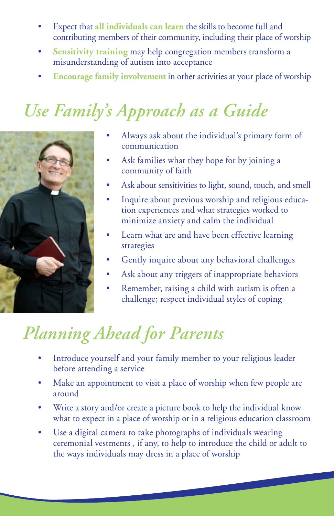- Expect that all individuals can learn the skills to become full and contributing members of their community, including their place of worship
- **Sensitivity training** may help congregation members transform a misunderstanding of autism into acceptance
- **Encourage family involvement** in other activities at your place of worship

#### *Use Family's Approach as a Guide*



- Always ask about the individual's primary form of communication
- Ask families what they hope for by joining a community of faith
- Ask about sensitivities to light, sound, touch, and smell
- Inquire about previous worship and religious education experiences and what strategies worked to minimize anxiety and calm the individual
- Learn what are and have been effective learning strategies
- Gently inquire about any behavioral challenges
- Ask about any triggers of inappropriate behaviors
- • Remember, raising a child with autism is often a challenge; respect individual styles of coping

#### *Planning Ahead for Parents*

- Introduce yourself and your family member to your religious leader before attending a service
- Make an appointment to visit a place of worship when few people are around
- Write a story and/or create a picture book to help the individual know what to expect in a place of worship or in a religious education classroom
- Use a digital camera to take photographs of individuals wearing ceremonial vestments , if any, to help to introduce the child or adult to the ways individuals may dress in a place of worship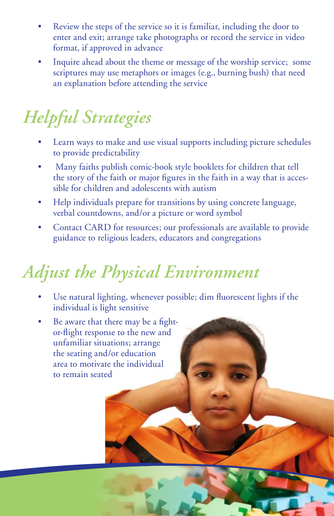- Review the steps of the service so it is familiar, including the door to enter and exit; arrange take photographs or record the service in video format, if approved in advance
- Inquire ahead about the theme or message of the worship service; some scriptures may use metaphors or images (e.g., burning bush) that need an explanation before attending the service

#### *Helpful Strategies*

- Learn ways to make and use visual supports including picture schedules to provide predictability
- Many faiths publish comic-book style booklets for children that tell the story of the faith or major figures in the faith in a way that is accessible for children and adolescents with autism
- Help individuals prepare for transitions by using concrete language, verbal countdowns, and/or a picture or word symbol
- Contact CARD for resources; our professionals are available to provide guidance to religious leaders, educators and congregations

#### *Adjust the Physical Environment*

- Use natural lighting, whenever possible; dim fluorescent lights if the individual is light sensitive
- Be aware that there may be a fightor-flight response to the new and unfamiliar situations; arrange the seating and/or education area to motivate the individual to remain seated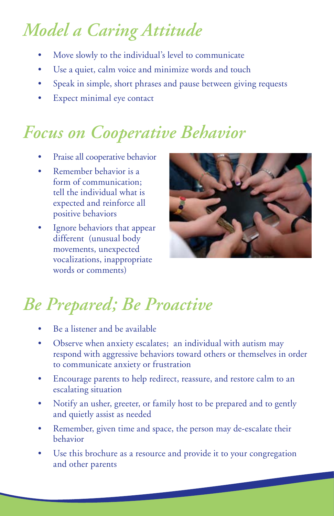#### *Model a Caring Attitude*

- Move slowly to the individual's level to communicate
- Use a quiet, calm voice and minimize words and touch
- Speak in simple, short phrases and pause between giving requests
- Expect minimal eye contact

#### *Focus on Cooperative Behavior*

- Praise all cooperative behavior
- Remember behavior is a form of communication; tell the individual what is expected and reinforce all positive behaviors
- Ignore behaviors that appear different (unusual body movements, unexpected vocalizations, inappropriate words or comments)



#### *Be Prepared; Be Proactive*

- Be a listener and be available
- Observe when anxiety escalates; an individual with autism may respond with aggressive behaviors toward others or themselves in order to communicate anxiety or frustration
- Encourage parents to help redirect, reassure, and restore calm to an escalating situation
- Notify an usher, greeter, or family host to be prepared and to gently and quietly assist as needed
- Remember, given time and space, the person may de-escalate their behavior
- Use this brochure as a resource and provide it to your congregation and other parents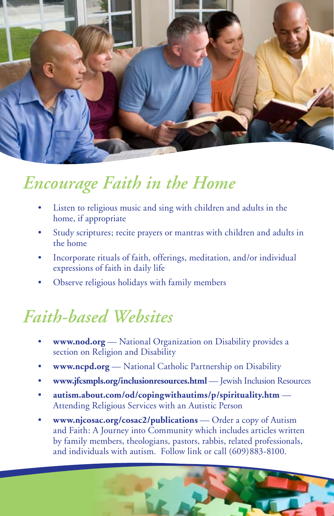

#### *Encourage Faith in the Home*

- Listen to religious music and sing with children and adults in the home, if appropriate
- Study scriptures; recite prayers or mantras with children and adults in the home
- Incorporate rituals of faith, offerings, meditation, and/or individual expressions of faith in daily life
- Observe religious holidays with family members

#### *Faith-based Websites*

- www.nod.org National Organization on Disability provides a section on Religion and Disability
- www.ncpd.org National Catholic Partnership on Disability
- • **www.jfcsmpls.org/inclusionresources.html** Jewish Inclusion Resources
- autism.about.com/od/copingwithautims/p/spirituality.htm Attending Religious Services with an Autistic Person
- **www.njcosac.org/cosac2/publications** Order a copy of Autism and Faith: A Journey into Community which includes articles written by family members, theologians, pastors, rabbis, related professionals, and individuals with autism. Follow link or call (609)883-8100.